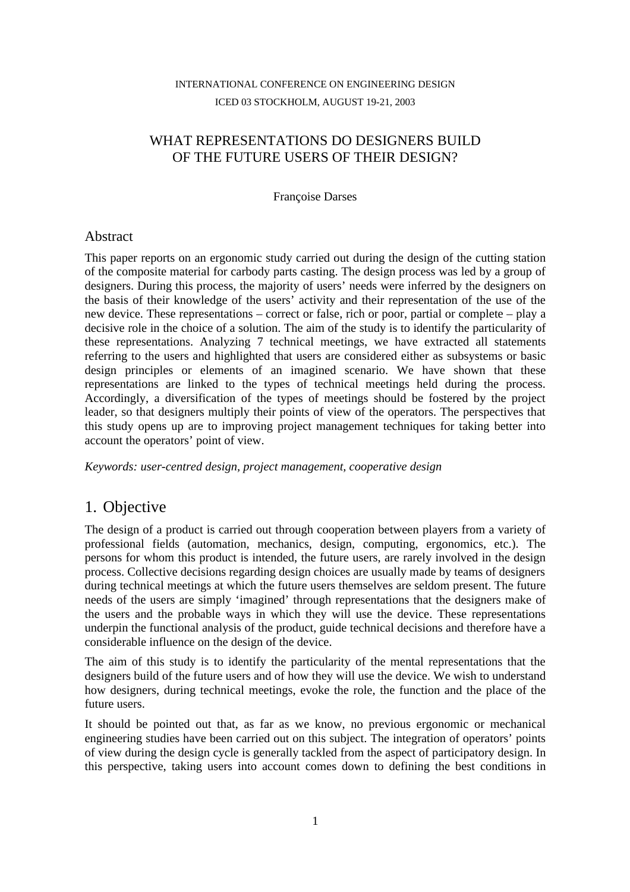### INTERNATIONAL CONFERENCE ON ENGINEERING DESIGN ICED 03 STOCKHOLM, AUGUST 19-21, 2003

## WHAT REPRESENTATIONS DO DESIGNERS BUILD OF THE FUTURE USERS OF THEIR DESIGN?

Françoise Darses

#### Abstract

This paper reports on an ergonomic study carried out during the design of the cutting station of the composite material for carbody parts casting. The design process was led by a group of designers. During this process, the majority of users' needs were inferred by the designers on the basis of their knowledge of the users' activity and their representation of the use of the new device. These representations – correct or false, rich or poor, partial or complete – play a decisive role in the choice of a solution. The aim of the study is to identify the particularity of these representations. Analyzing 7 technical meetings, we have extracted all statements referring to the users and highlighted that users are considered either as subsystems or basic design principles or elements of an imagined scenario. We have shown that these representations are linked to the types of technical meetings held during the process. Accordingly, a diversification of the types of meetings should be fostered by the project leader, so that designers multiply their points of view of the operators. The perspectives that this study opens up are to improving project management techniques for taking better into account the operators' point of view.

*Keywords: user-centred design, project management, cooperative design*

# 1. Objective

The design of a product is carried out through cooperation between players from a variety of professional fields (automation, mechanics, design, computing, ergonomics, etc.). The persons for whom this product is intended, the future users, are rarely involved in the design process. Collective decisions regarding design choices are usually made by teams of designers during technical meetings at which the future users themselves are seldom present. The future needs of the users are simply 'imagined' through representations that the designers make of the users and the probable ways in which they will use the device. These representations underpin the functional analysis of the product, guide technical decisions and therefore have a considerable influence on the design of the device.

The aim of this study is to identify the particularity of the mental representations that the designers build of the future users and of how they will use the device. We wish to understand how designers, during technical meetings, evoke the role, the function and the place of the future users.

It should be pointed out that, as far as we know, no previous ergonomic or mechanical engineering studies have been carried out on this subject. The integration of operators' points of view during the design cycle is generally tackled from the aspect of participatory design. In this perspective, taking users into account comes down to defining the best conditions in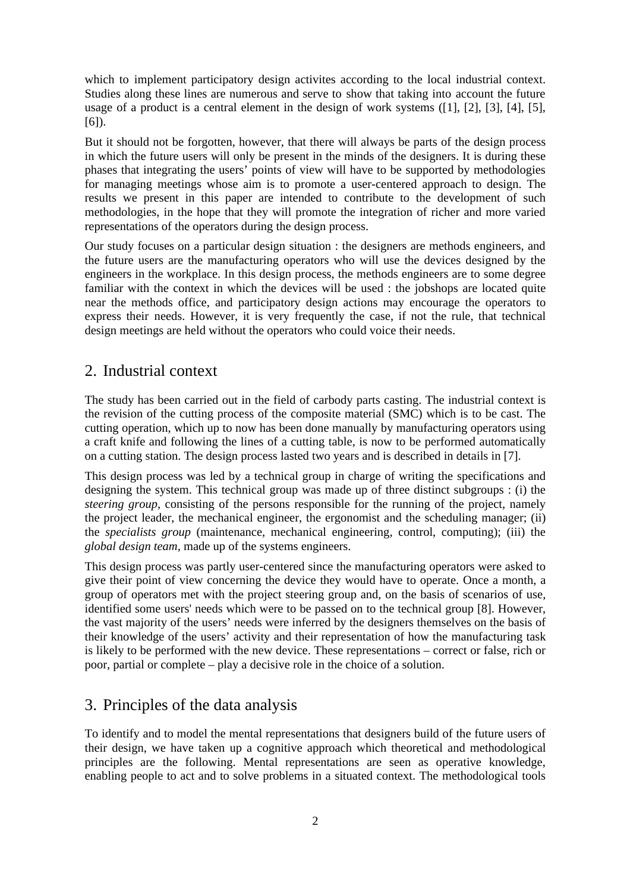which to implement participatory design activites according to the local industrial context. Studies along these lines are numerous and serve to show that taking into account the future usage of a product is a central element in the design of work systems ([1], [2], [3], [4], [5], [6]).

But it should not be forgotten, however, that there will always be parts of the design process in which the future users will only be present in the minds of the designers. It is during these phases that integrating the users' points of view will have to be supported by methodologies for managing meetings whose aim is to promote a user-centered approach to design. The results we present in this paper are intended to contribute to the development of such methodologies, in the hope that they will promote the integration of richer and more varied representations of the operators during the design process.

Our study focuses on a particular design situation : the designers are methods engineers, and the future users are the manufacturing operators who will use the devices designed by the engineers in the workplace. In this design process, the methods engineers are to some degree familiar with the context in which the devices will be used : the jobshops are located quite near the methods office, and participatory design actions may encourage the operators to express their needs. However, it is very frequently the case, if not the rule, that technical design meetings are held without the operators who could voice their needs.

# 2. Industrial context

The study has been carried out in the field of carbody parts casting. The industrial context is the revision of the cutting process of the composite material (SMC) which is to be cast. The cutting operation, which up to now has been done manually by manufacturing operators using a craft knife and following the lines of a cutting table, is now to be performed automatically on a cutting station. The design process lasted two years and is described in details in [7].

This design process was led by a technical group in charge of writing the specifications and designing the system. This technical group was made up of three distinct subgroups : (i) the *steering group*, consisting of the persons responsible for the running of the project, namely the project leader, the mechanical engineer, the ergonomist and the scheduling manager; (ii) the *specialists group* (maintenance, mechanical engineering, control, computing); (iii) the *global design team,* made up of the systems engineers.

This design process was partly user-centered since the manufacturing operators were asked to give their point of view concerning the device they would have to operate. Once a month, a group of operators met with the project steering group and, on the basis of scenarios of use, identified some users' needs which were to be passed on to the technical group [8]. However, the vast majority of the users' needs were inferred by the designers themselves on the basis of their knowledge of the users' activity and their representation of how the manufacturing task is likely to be performed with the new device. These representations – correct or false, rich or poor, partial or complete – play a decisive role in the choice of a solution.

# 3. Principles of the data analysis

To identify and to model the mental representations that designers build of the future users of their design, we have taken up a cognitive approach which theoretical and methodological principles are the following. Mental representations are seen as operative knowledge, enabling people to act and to solve problems in a situated context. The methodological tools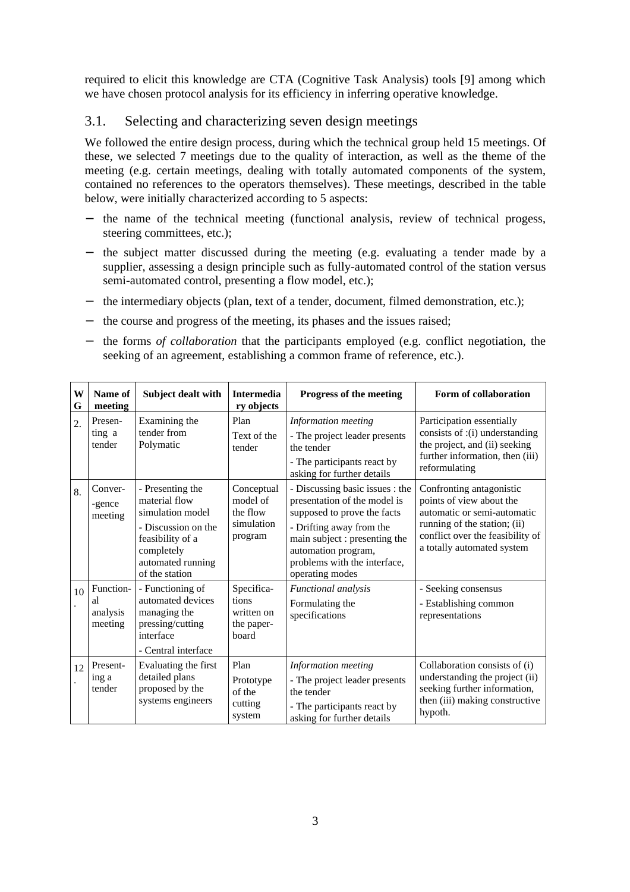required to elicit this knowledge are CTA (Cognitive Task Analysis) tools [9] among which we have chosen protocol analysis for its efficiency in inferring operative knowledge.

#### 3.1. Selecting and characterizing seven design meetings

We followed the entire design process, during which the technical group held 15 meetings. Of these, we selected 7 meetings due to the quality of interaction, as well as the theme of the meeting (e.g. certain meetings, dealing with totally automated components of the system, contained no references to the operators themselves). These meetings, described in the table below, were initially characterized according to 5 aspects:

- − the name of the technical meeting (functional analysis, review of technical progess, steering committees, etc.);
- the subject matter discussed during the meeting (e.g. evaluating a tender made by a supplier, assessing a design principle such as fully-automated control of the station versus semi-automated control, presenting a flow model, etc.);
- − the intermediary objects (plan, text of a tender, document, filmed demonstration, etc.);
- the course and progress of the meeting, its phases and the issues raised;
- − the forms *of collaboration* that the participants employed (e.g. conflict negotiation, the seeking of an agreement, establishing a common frame of reference, etc.).

| W<br>G | Name of<br>meeting                     | Subject dealt with                                                                                                                                    | <b>Intermedia</b><br>ry objects                             | Progress of the meeting                                                                                                                                                                                                               | Form of collaboration                                                                                                                                                                 |
|--------|----------------------------------------|-------------------------------------------------------------------------------------------------------------------------------------------------------|-------------------------------------------------------------|---------------------------------------------------------------------------------------------------------------------------------------------------------------------------------------------------------------------------------------|---------------------------------------------------------------------------------------------------------------------------------------------------------------------------------------|
| 2.     | Presen-<br>ting a<br>tender            | Examining the<br>tender from<br>Polymatic                                                                                                             | Plan<br>Text of the<br>tender                               | Information meeting<br>- The project leader presents<br>the tender<br>- The participants react by<br>asking for further details                                                                                                       | Participation essentially<br>consists of :(i) understanding<br>the project, and (ii) seeking<br>further information, then (iii)<br>reformulating                                      |
| 8.     | Conver-<br>-gence<br>meeting           | - Presenting the<br>material flow<br>simulation model<br>- Discussion on the<br>feasibility of a<br>completely<br>automated running<br>of the station | Conceptual<br>model of<br>the flow<br>simulation<br>program | - Discussing basic issues : the<br>presentation of the model is<br>supposed to prove the facts<br>- Drifting away from the<br>main subject : presenting the<br>automation program,<br>problems with the interface,<br>operating modes | Confronting antagonistic<br>points of view about the<br>automatic or semi-automatic<br>running of the station; (ii)<br>conflict over the feasibility of<br>a totally automated system |
| 10     | Function-<br>al<br>analysis<br>meeting | - Functioning of<br>automated devices<br>managing the<br>pressing/cutting<br>interface<br>- Central interface                                         | Specifica-<br>tions<br>written on<br>the paper-<br>board    | <b>Functional</b> analysis<br>Formulating the<br>specifications                                                                                                                                                                       | - Seeking consensus<br>- Establishing common<br>representations                                                                                                                       |
| 12     | Present-<br>ing a<br>tender            | Evaluating the first<br>detailed plans<br>proposed by the<br>systems engineers                                                                        | Plan<br>Prototype<br>of the<br>cutting<br>system            | Information meeting<br>- The project leader presents<br>the tender<br>- The participants react by<br>asking for further details                                                                                                       | Collaboration consists of (i)<br>understanding the project (ii)<br>seeking further information,<br>then (iii) making constructive<br>hypoth.                                          |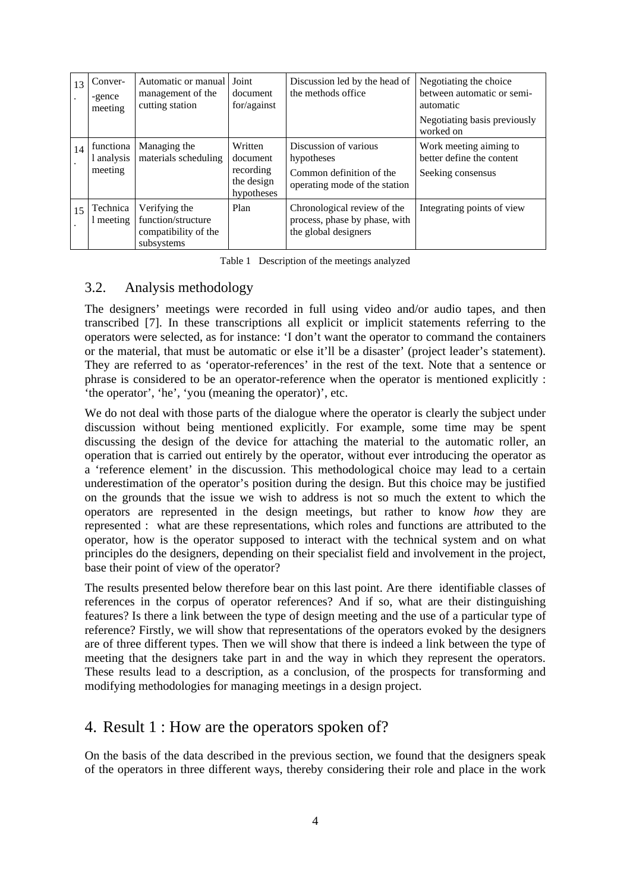| 13 | Conver-<br>-gence<br>meeting       | Automatic or manual<br>management of the<br>cutting station               | Joint<br>document<br>for/against                             | Discussion led by the head of<br>the methods office                                              | Negotiating the choice<br>between automatic or semi-<br>automatic<br>Negotiating basis previously |
|----|------------------------------------|---------------------------------------------------------------------------|--------------------------------------------------------------|--------------------------------------------------------------------------------------------------|---------------------------------------------------------------------------------------------------|
|    |                                    |                                                                           |                                                              |                                                                                                  | worked on                                                                                         |
| 14 | functiona<br>1 analysis<br>meeting | Managing the<br>materials scheduling                                      | Written<br>document<br>recording<br>the design<br>hypotheses | Discussion of various<br>hypotheses<br>Common definition of the<br>operating mode of the station | Work meeting aiming to<br>better define the content<br>Seeking consensus                          |
| 15 | Technica<br>1 meeting              | Verifying the<br>function/structure<br>compatibility of the<br>subsystems | Plan                                                         | Chronological review of the<br>process, phase by phase, with<br>the global designers             | Integrating points of view                                                                        |

Table 1 Description of the meetings analyzed

## 3.2. Analysis methodology

The designers' meetings were recorded in full using video and/or audio tapes, and then transcribed [7]. In these transcriptions all explicit or implicit statements referring to the operators were selected, as for instance: 'I don't want the operator to command the containers or the material, that must be automatic or else it'll be a disaster' (project leader's statement). They are referred to as 'operator-references' in the rest of the text. Note that a sentence or phrase is considered to be an operator-reference when the operator is mentioned explicitly : 'the operator', 'he', 'you (meaning the operator)', etc.

We do not deal with those parts of the dialogue where the operator is clearly the subject under discussion without being mentioned explicitly. For example, some time may be spent discussing the design of the device for attaching the material to the automatic roller, an operation that is carried out entirely by the operator, without ever introducing the operator as a 'reference element' in the discussion. This methodological choice may lead to a certain underestimation of the operator's position during the design. But this choice may be justified on the grounds that the issue we wish to address is not so much the extent to which the operators are represented in the design meetings, but rather to know *how* they are represented : what are these representations, which roles and functions are attributed to the operator, how is the operator supposed to interact with the technical system and on what principles do the designers, depending on their specialist field and involvement in the project, base their point of view of the operator?

The results presented below therefore bear on this last point. Are there identifiable classes of references in the corpus of operator references? And if so, what are their distinguishing features? Is there a link between the type of design meeting and the use of a particular type of reference? Firstly, we will show that representations of the operators evoked by the designers are of three different types. Then we will show that there is indeed a link between the type of meeting that the designers take part in and the way in which they represent the operators. These results lead to a description, as a conclusion, of the prospects for transforming and modifying methodologies for managing meetings in a design project.

## 4. Result 1 : How are the operators spoken of?

On the basis of the data described in the previous section, we found that the designers speak of the operators in three different ways, thereby considering their role and place in the work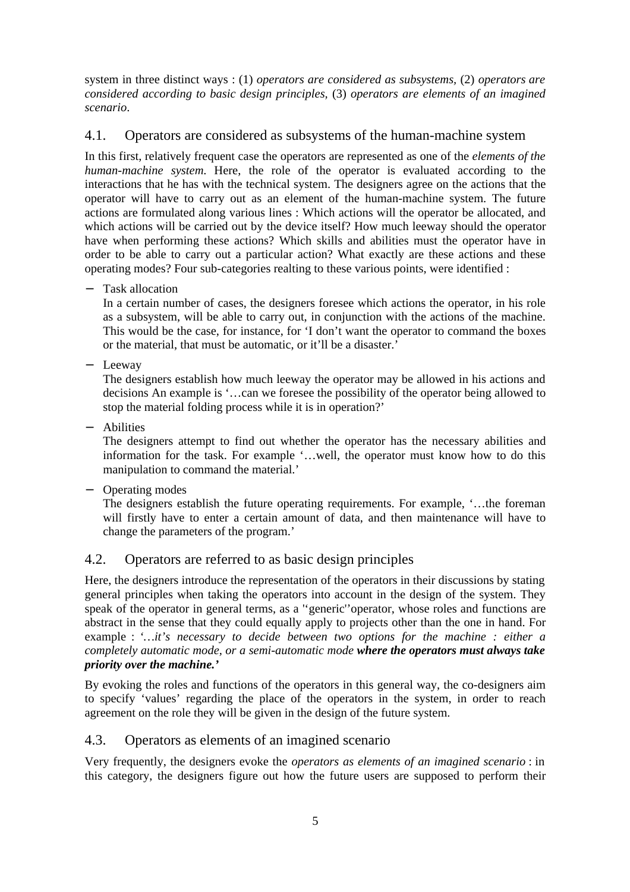system in three distinct ways : (1) *operators are considered as subsystems,* (2) *operators are considered according to basic design principles,* (3) *operators are elements of an imagined scenario*.

## 4.1. Operators are considered as subsystems of the human-machine system

In this first, relatively frequent case the operators are represented as one of the *elements of the human-machine system*. Here, the role of the operator is evaluated according to the interactions that he has with the technical system. The designers agree on the actions that the operator will have to carry out as an element of the human-machine system. The future actions are formulated along various lines : Which actions will the operator be allocated, and which actions will be carried out by the device itself? How much leeway should the operator have when performing these actions? Which skills and abilities must the operator have in order to be able to carry out a particular action? What exactly are these actions and these operating modes? Four sub-categories realting to these various points, were identified :

− Task allocation

In a certain number of cases, the designers foresee which actions the operator, in his role as a subsystem, will be able to carry out, in conjunction with the actions of the machine. This would be the case, for instance, for 'I don't want the operator to command the boxes or the material, that must be automatic, or it'll be a disaster.'

− Leeway

The designers establish how much leeway the operator may be allowed in his actions and decisions An example is '…can we foresee the possibility of the operator being allowed to stop the material folding process while it is in operation?'

− Abilities

The designers attempt to find out whether the operator has the necessary abilities and information for the task. For example '…well, the operator must know how to do this manipulation to command the material.'

− Operating modes

The designers establish the future operating requirements. For example, '…the foreman will firstly have to enter a certain amount of data, and then maintenance will have to change the parameters of the program.'

## 4.2. Operators are referred to as basic design principles

Here, the designers introduce the representation of the operators in their discussions by stating general principles when taking the operators into account in the design of the system. They speak of the operator in general terms, as a ''generic''operator, whose roles and functions are abstract in the sense that they could equally apply to projects other than the one in hand. For example : *'…it's necessary to decide between two options for the machine : either a completely automatic mode, or a semi-automatic mode where the operators must always take priority over the machine.'*

By evoking the roles and functions of the operators in this general way, the co-designers aim to specify 'values' regarding the place of the operators in the system, in order to reach agreement on the role they will be given in the design of the future system.

### 4.3. Operators as elements of an imagined scenario

Very frequently, the designers evoke the *operators as elements of an imagined scenario* : in this category, the designers figure out how the future users are supposed to perform their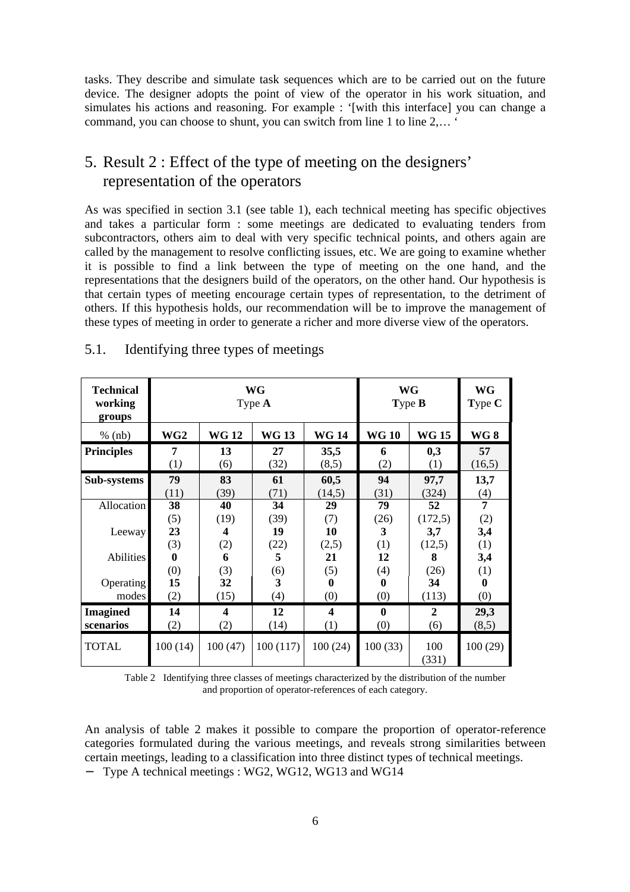tasks. They describe and simulate task sequences which are to be carried out on the future device. The designer adopts the point of view of the operator in his work situation, and simulates his actions and reasoning. For example : '[with this interface] you can change a command, you can choose to shunt, you can switch from line 1 to line 2,… '

# 5. Result 2 : Effect of the type of meeting on the designers' representation of the operators

As was specified in section 3.1 (see table 1), each technical meeting has specific objectives and takes a particular form : some meetings are dedicated to evaluating tenders from subcontractors, others aim to deal with very specific technical points, and others again are called by the management to resolve conflicting issues, etc. We are going to examine whether it is possible to find a link between the type of meeting on the one hand, and the representations that the designers build of the operators, on the other hand. Our hypothesis is that certain types of meeting encourage certain types of representation, to the detriment of others. If this hypothesis holds, our recommendation will be to improve the management of these types of meeting in order to generate a richer and more diverse view of the operators.

| <b>Technical</b><br>working<br>groups | WG<br>Type $A$ |              |             |             | WG<br>Type B |                  | <b>WG</b><br>Type C |
|---------------------------------------|----------------|--------------|-------------|-------------|--------------|------------------|---------------------|
| $%$ (nb)                              | WG2            | <b>WG 12</b> | <b>WG13</b> | <b>WG14</b> | <b>WG 10</b> | <b>WG 15</b>     | <b>WG8</b>          |
| <b>Principles</b>                     | 7              | 13           | 27          | 35,5        | 6            | 0,3              | 57                  |
|                                       | (1)            | (6)          | (32)        | (8,5)       | (2)          | $\left(1\right)$ | (16,5)              |
| Sub-systems                           | 79             | 83           | 61          | 60,5        | 94           | 97,7             | 13,7                |
|                                       | (11)           | (39)         | (71)        | (14,5)      | (31)         | (324)            | (4)                 |
| Allocation                            | 38             | 40           | 34          | 29          | 79           | 52               | 7                   |
|                                       | (5)            | (19)         | (39)        | (7)         | (26)         | (172,5)          | (2)                 |
| Leeway                                | 23             | 4            | 19          | 10          | 3            | 3,7              | 3,4                 |
|                                       | (3)            | (2)          | (22)        | (2,5)       | (1)          | (12,5)           | (1)                 |
| <b>Abilities</b>                      | $\mathbf{0}$   | 6            | 5           | 21          | 12           | 8                | 3,4                 |
|                                       | (0)            | (3)          | (6)         | (5)         | (4)          | (26)             | (1)                 |
| <b>Operating</b>                      | 15             | 32           | 3           | 0           | 0            | 34               | $\bf{0}$            |
| modes                                 | (2)            | (15)         | (4)         | (0)         | (0)          | (113)            | (0)                 |
| <b>Imagined</b>                       | 14             | 4            | 12          | 4           | $\mathbf{0}$ | $\mathbf{2}$     | 29,3                |
| scenarios                             | (2)            | (2)          | (14)        | (1)         | (0)          | (6)              | (8,5)               |
| <b>TOTAL</b>                          | 100(14)        | 100(47)      | 100(117)    | 100(24)     | 100(33)      | 100<br>(331)     | 100(29)             |

#### 5.1. Identifying three types of meetings

Table 2 Identifying three classes of meetings characterized by the distribution of the number and proportion of operator-references of each category.

An analysis of table 2 makes it possible to compare the proportion of operator-reference categories formulated during the various meetings, and reveals strong similarities between certain meetings, leading to a classification into three distinct types of technical meetings. − Type A technical meetings : WG2, WG12, WG13 and WG14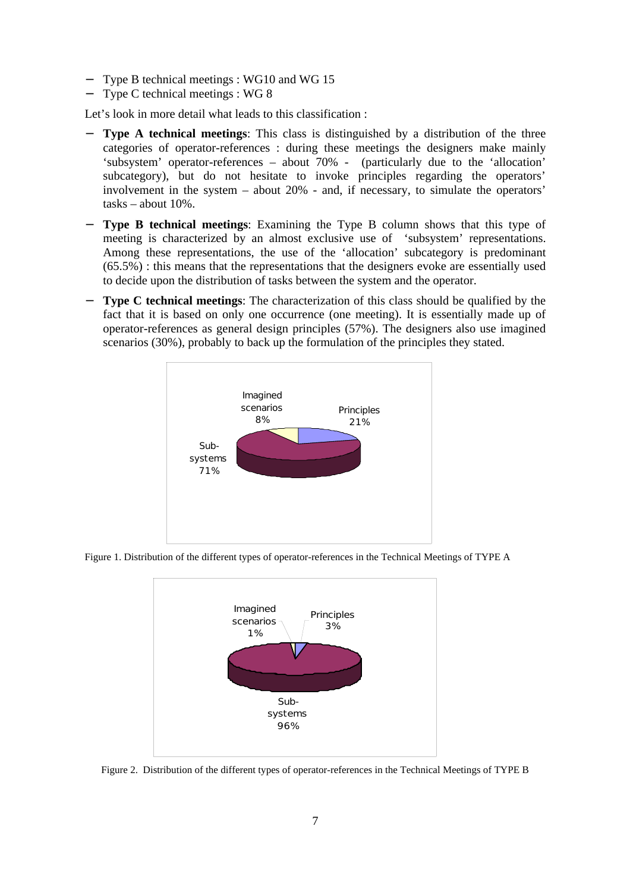- Type B technical meetings : WG10 and WG 15
- − Type C technical meetings : WG 8

Let's look in more detail what leads to this classification :

- **Type A technical meetings:** This class is distinguished by a distribution of the three categories of operator-references : during these meetings the designers make mainly 'subsystem' operator-references – about 70% - (particularly due to the 'allocation' subcategory), but do not hesitate to invoke principles regarding the operators' involvement in the system – about 20% - and, if necessary, to simulate the operators' tasks – about 10%.
- **Type B technical meetings:** Examining the Type B column shows that this type of meeting is characterized by an almost exclusive use of 'subsystem' representations. Among these representations, the use of the 'allocation' subcategory is predominant (65.5%) : this means that the representations that the designers evoke are essentially used to decide upon the distribution of tasks between the system and the operator.
- − **Type C technical meetings**: The characterization of this class should be qualified by the fact that it is based on only one occurrence (one meeting). It is essentially made up of operator-references as general design principles (57%). The designers also use imagined scenarios (30%), probably to back up the formulation of the principles they stated.



Figure 1. Distribution of the different types of operator-references in the Technical Meetings of TYPE A



Figure 2. Distribution of the different types of operator-references in the Technical Meetings of TYPE B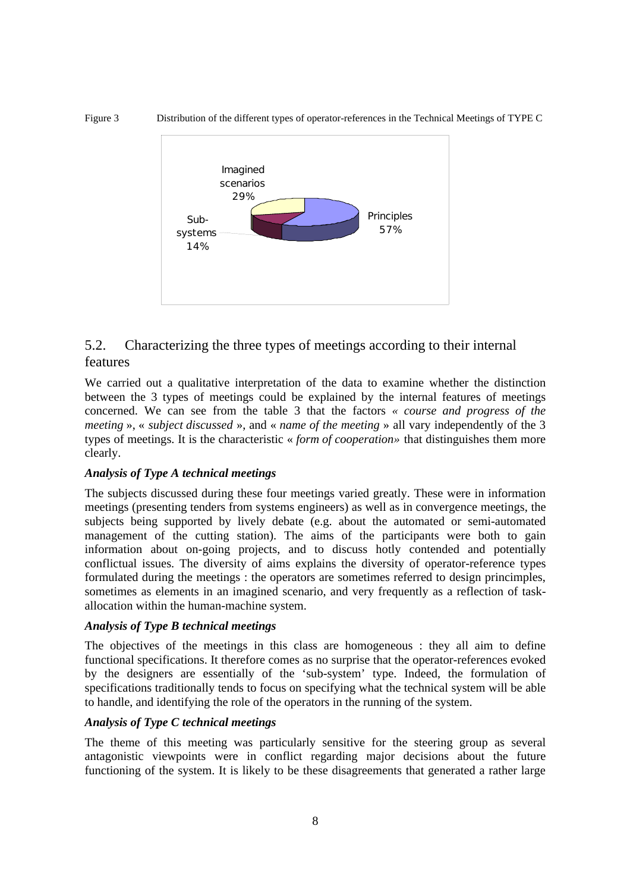Figure 3 Distribution of the different types of operator-references in the Technical Meetings of TYPE C



## 5.2. Characterizing the three types of meetings according to their internal features

We carried out a qualitative interpretation of the data to examine whether the distinction between the 3 types of meetings could be explained by the internal features of meetings concerned. We can see from the table 3 that the factors *« course and progress of the meeting* », « *subject discussed* », and « *name of the meeting* » all vary independently of the 3 types of meetings. It is the characteristic « *form of cooperation»* that distinguishes them more clearly.

#### *Analysis of Type A technical meetings*

The subjects discussed during these four meetings varied greatly. These were in information meetings (presenting tenders from systems engineers) as well as in convergence meetings, the subjects being supported by lively debate (e.g. about the automated or semi-automated management of the cutting station). The aims of the participants were both to gain information about on-going projects, and to discuss hotly contended and potentially conflictual issues. The diversity of aims explains the diversity of operator-reference types formulated during the meetings : the operators are sometimes referred to design princimples, sometimes as elements in an imagined scenario, and very frequently as a reflection of taskallocation within the human-machine system.

#### *Analysis of Type B technical meetings*

The objectives of the meetings in this class are homogeneous : they all aim to define functional specifications. It therefore comes as no surprise that the operator-references evoked by the designers are essentially of the 'sub-system' type. Indeed, the formulation of specifications traditionally tends to focus on specifying what the technical system will be able to handle, and identifying the role of the operators in the running of the system.

#### *Analysis of Type C technical meetings*

The theme of this meeting was particularly sensitive for the steering group as several antagonistic viewpoints were in conflict regarding major decisions about the future functioning of the system. It is likely to be these disagreements that generated a rather large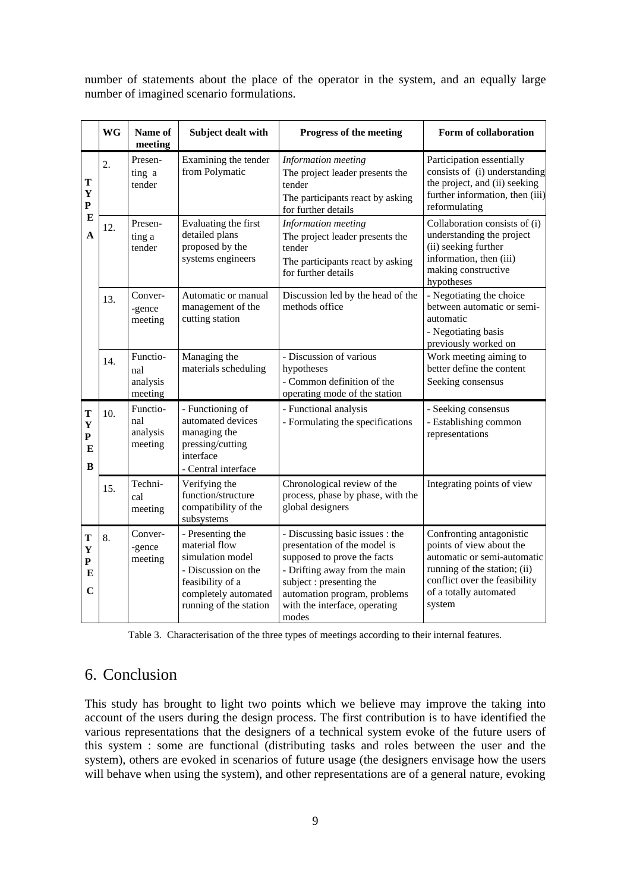number of statements about the place of the operator in the system, and an equally large number of imagined scenario formulations.

|                                            | <b>WG</b> | Name of<br>meeting                     | Subject dealt with                                                                                                                                 | Progress of the meeting                                                                                                                                                                                                               | Form of collaboration                                                                                                                                                                    |
|--------------------------------------------|-----------|----------------------------------------|----------------------------------------------------------------------------------------------------------------------------------------------------|---------------------------------------------------------------------------------------------------------------------------------------------------------------------------------------------------------------------------------------|------------------------------------------------------------------------------------------------------------------------------------------------------------------------------------------|
| T<br>$\mathbf Y$<br>P<br>E<br>$\mathbf{A}$ | 2.        | Presen-<br>ting a<br>tender            | Examining the tender<br>from Polymatic                                                                                                             | Information meeting<br>The project leader presents the<br>tender<br>The participants react by asking<br>for further details                                                                                                           | Participation essentially<br>consists of (i) understanding<br>the project, and (ii) seeking<br>further information, then (iii)<br>reformulating                                          |
|                                            | 12.       | Presen-<br>ting a<br>tender            | Evaluating the first<br>detailed plans<br>proposed by the<br>systems engineers                                                                     | Information meeting<br>The project leader presents the<br>tender<br>The participants react by asking<br>for further details                                                                                                           | Collaboration consists of (i)<br>understanding the project<br>(ii) seeking further<br>information, then (iii)<br>making constructive<br>hypotheses                                       |
|                                            | 13.       | Conver-<br>-gence<br>meeting           | Automatic or manual<br>management of the<br>cutting station                                                                                        | Discussion led by the head of the<br>methods office                                                                                                                                                                                   | - Negotiating the choice<br>between automatic or semi-<br>automatic<br>- Negotiating basis<br>previously worked on                                                                       |
|                                            | 14.       | Functio-<br>nal<br>analysis<br>meeting | Managing the<br>materials scheduling                                                                                                               | - Discussion of various<br>hypotheses<br>- Common definition of the<br>operating mode of the station                                                                                                                                  | Work meeting aiming to<br>better define the content<br>Seeking consensus                                                                                                                 |
| T<br>Y<br>P<br>E<br>B                      | 10.       | Functio-<br>nal<br>analysis<br>meeting | - Functioning of<br>automated devices<br>managing the<br>pressing/cutting<br>interface<br>- Central interface                                      | - Functional analysis<br>- Formulating the specifications                                                                                                                                                                             | - Seeking consensus<br>- Establishing common<br>representations                                                                                                                          |
|                                            | 15.       | Techni-<br>cal<br>meeting              | Verifying the<br>function/structure<br>compatibility of the<br>subsystems                                                                          | Chronological review of the<br>process, phase by phase, with the<br>global designers                                                                                                                                                  | Integrating points of view                                                                                                                                                               |
| т<br>Y<br>$\mathbf{P}$<br>E<br>$\mathbf C$ | 8.        | Conver-<br>-gence<br>meeting           | - Presenting the<br>material flow<br>simulation model<br>- Discussion on the<br>feasibility of a<br>completely automated<br>running of the station | - Discussing basic issues : the<br>presentation of the model is<br>supposed to prove the facts<br>- Drifting away from the main<br>subject : presenting the<br>automation program, problems<br>with the interface, operating<br>modes | Confronting antagonistic<br>points of view about the<br>automatic or semi-automatic<br>running of the station; (ii)<br>conflict over the feasibility<br>of a totally automated<br>system |

Table 3. Characterisation of the three types of meetings according to their internal features.

## 6. Conclusion

This study has brought to light two points which we believe may improve the taking into account of the users during the design process. The first contribution is to have identified the various representations that the designers of a technical system evoke of the future users of this system : some are functional (distributing tasks and roles between the user and the system), others are evoked in scenarios of future usage (the designers envisage how the users will behave when using the system), and other representations are of a general nature, evoking